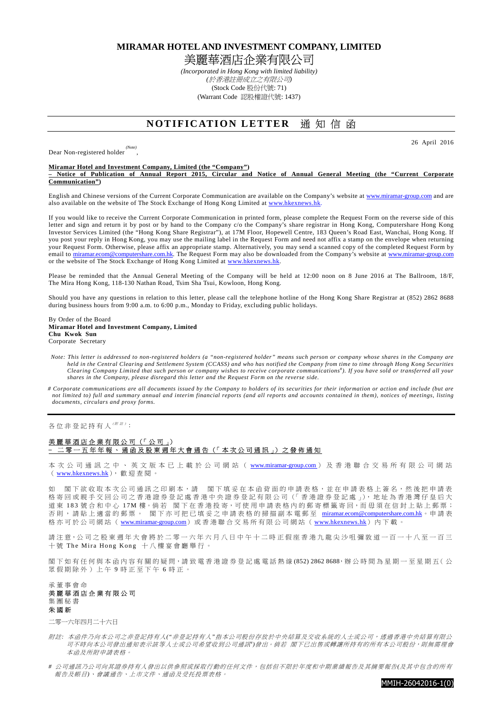**MIRAMAR HOTEL AND INVESTMENT COMPANY, LIMITED**  美麗華酒店企業有限公司

> *(Incorporated in Hong Kong with limited liability) (*於香港註冊成立之有限公司*)*  (Stock Code 股份代號: 71) (Warrant Code 認股權證代號: 1437)

**NOTIFICATION LETTER 通知信函** 

Dear Non-registered holder *(Note)* ,

26 April 2016

## **Miramar Hotel and Investment Company, Limited (the "Company") – Notice of Publication of Annual Report 2015, Circular and Notice of Annual General Meeting (the "Current Corporate Communication")**

English and Chinese versions of the Current Corporate Communication are available on the Company's website at www.miramar-group.com and are also available on the website of The Stock Exchange of Hong Kong Limited at www.hkexnews.hk.

If you would like to receive the Current Corporate Communication in printed form, please complete the Request Form on the reverse side of this letter and sign and return it by post or by hand to the Company c/o the Company's share registrar in Hong Kong, Computershare Hong Kong Investor Services Limited (the "Hong Kong Share Registrar"), at 17M Floor, Hopewell Centre, 183 Queen's Road East, Wanchai, Hong Kong. If you post your reply in Hong Kong, you may use the mailing label in the Request Form and need not affix a stamp on the envelope when returning your Request Form. Otherwise, please affix an appropriate stamp. Alternatively, you may send a scanned copy of the completed Request Form by email to miramar.ecom@computershare.com.hk. The Request Form may also be downloaded from the Company's website at www.miramar-group.com or the website of The Stock Exchange of Hong Kong Limited at www.hkexnews.hk.

Please be reminded that the Annual General Meeting of the Company will be held at 12:00 noon on 8 June 2016 at The Ballroom, 18/F, The Mira Hong Kong, 118-130 Nathan Road, Tsim Sha Tsui, Kowloon, Hong Kong.

Should you have any questions in relation to this letter, please call the telephone hotline of the Hong Kong Share Registrar at (852) 2862 8688 during business hours from 9:00 a.m. to 6:00 p.m., Monday to Friday, excluding public holidays.

By Order of the Board **Miramar Hotel and Investment Company, Limited Chu Kwok Sun** Corporate Secretary

- *Note: This letter is addressed to non-registered holders (a "non-registered holder" means such person or company whose shares in the Company are held in the Central Clearing and Settlement System (CCASS) and who has notified the Company from time to time through Hong Kong Securities Clearing Company Limited that such person or company wishes to receive corporate communications*# *). If you have sold or transferred all your shares in the Company, please disregard this letter and the Request Form on the reverse side.*
- *# Corporate communications are all documents issued by the Company to holders of its securities for their information or action and include (but are not limited to) full and summary annual and interim financial reports (and all reports and accounts contained in them), notices of meetings, listing documents, circulars and proxy forms.*

各位非登記持有人( $^{\#E}$ ):

## 美麗華酒店企業有限公司 (「公司」) **–** 二 零 一 五 年 年 報 、 通 函 及 股 東 週 年 大 會 通 告 (「 本 次 公 司 通 訊 」) 之 發 佈 通 知

本 次 公 司 通 訊 之 中 、 英 文 版 本 已 上 載 於 公 司 網 站 ( www.miramar-group.com) 及 香 港 聯 合 交 易 所 有 限 公 司 網 站 ( www.hkexnews.hk), 歡 迎 查 閱 。

如 閣下欲收取本次公司通訊之印刷本,請 閣下填妥在本函背面的申請表格,並在申請表格上簽名,然後把申請表 格 寄 回 或 親 手 交 回 公 司 之 香 港 證 券 登 記 處 香 港 中 央 證 券 登 記 有 限 公 司 (「 香 港 證 券 登 記 處 」), 地 址 為 香 港 灣 仔 皇 后 大 道東 183 號合和中心 17M 樓。倘若 閣下在香港投寄,可使用申請表格內的郵寄標籤寄回,而毋須在信封上貼上郵票; 否 則 , 請 貼 上 適 當 的 郵 票 。 閣 下 亦 可 把 已 填 妥 之 申 請 表 格 的 掃 描 副 本 電 郵 至 miramar.ecom@computershare.com.hk。申 請 表 格 亦 可 於 公 司 網 站 ( www.miramar-group.com) 或 香 港 聯 合 交 易 所 有 限 公 司 網 站 ( www.hkexnews.hk) 內 下 載 。

請注意,公司之股東週年大會將於二零一六年六月八日中午十二時正假座香港九龍尖沙咀彌敦道一百一十八至一百三 十號 The Mira Hong Kong 十八樓宴會廳舉行。

閣下如有任何與本函內容有關的疑問,請致電香港證券登記處電話熱線(852) 2862 8688,辦公時間為星期一至星期五(公 眾假期除外)上午9時正至下午6時正。

承 董 事 會 命 美麗華酒店企業有限公司 集 團 秘 書 朱 國 新

二零一六年四月二十六日

- 附註*:* 本函件乃向本公司之非登記持有人*("*非登記持有人*"*指本公司股份存放於中央結算及交收系統的人士或公司,透過香港中央結算有限公 司不時向本公司發出通知表示該等人士或公司希望收到公司通訊,發出。倘若 閣下已出售或轉讓所持有的所有本公司股份,則無需理會 本函及所附申請表格。
- *#* 公司通訊乃公司向其證券持有人發出以供參照或採取行動的任何文件,包括但不限於年度和中期業績報告及其摘要報告*(*及其中包含的所 有 報告及帳目*)*、會議通告、上市文件、通函及受托投票表格。